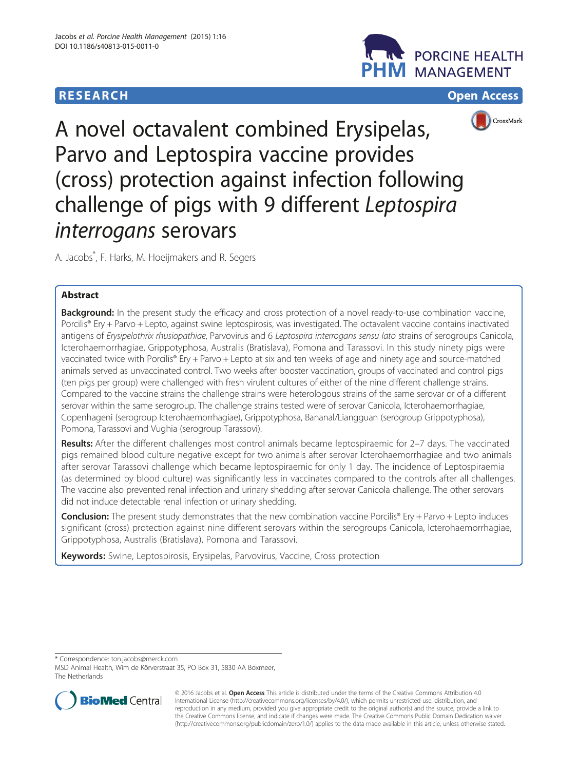# **RESEARCH RESEARCH** *CHECK CHECK CHECK CHECK CHECK CHECK CHECK CHECK CHECK CHECK CHECK CHECK CHECK CHECK CHECK CHECK CHECK CHECK CHECK CHECK CHECK CHECK CHECK CHECK CHECK CHECK CHECK CHECK CHECK CHECK CHECK CHECK CHECK*







A novel octavalent combined Erysipelas, Parvo and Leptospira vaccine provides (cross) protection against infection following challenge of pigs with 9 different Leptospira interrogans serovars

A. Jacobs\* , F. Harks, M. Hoeijmakers and R. Segers

## Abstract

**Background:** In the present study the efficacy and cross protection of a novel ready-to-use combination vaccine, Porcilis® Ery + Parvo + Lepto, against swine leptospirosis, was investigated. The octavalent vaccine contains inactivated antigens of Erysipelothrix rhusiopathiae, Parvovirus and 6 Leptospira interrogans sensu lato strains of serogroups Canicola, Icterohaemorrhagiae, Grippotyphosa, Australis (Bratislava), Pomona and Tarassovi. In this study ninety pigs were vaccinated twice with Porcilis® Ery + Parvo + Lepto at six and ten weeks of age and ninety age and source-matched animals served as unvaccinated control. Two weeks after booster vaccination, groups of vaccinated and control pigs (ten pigs per group) were challenged with fresh virulent cultures of either of the nine different challenge strains. Compared to the vaccine strains the challenge strains were heterologous strains of the same serovar or of a different serovar within the same serogroup. The challenge strains tested were of serovar Canicola, Icterohaemorrhagiae, Copenhageni (serogroup Icterohaemorrhagiae), Grippotyphosa, Bananal/Liangguan (serogroup Grippotyphosa), Pomona, Tarassovi and Vughia (serogroup Tarassovi).

Results: After the different challenges most control animals became leptospiraemic for 2–7 days. The vaccinated pigs remained blood culture negative except for two animals after serovar Icterohaemorrhagiae and two animals after serovar Tarassovi challenge which became leptospiraemic for only 1 day. The incidence of Leptospiraemia (as determined by blood culture) was significantly less in vaccinates compared to the controls after all challenges. The vaccine also prevented renal infection and urinary shedding after serovar Canicola challenge. The other serovars did not induce detectable renal infection or urinary shedding.

Conclusion: The present study demonstrates that the new combination vaccine Porcilis® Ery + Parvo + Lepto induces significant (cross) protection against nine different serovars within the serogroups Canicola, Icterohaemorrhagiae, Grippotyphosa, Australis (Bratislava), Pomona and Tarassovi.

Keywords: Swine, Leptospirosis, Erysipelas, Parvovirus, Vaccine, Cross protection

\* Correspondence: [ton.jacobs@merck.com](mailto:ton.jacobs@merck.com)

MSD Animal Health, Wim de Körverstraat 35, PO Box 31, 5830 AA Boxmeer, The Netherlands



© 2016 Jacobs et al. Open Access This article is distributed under the terms of the Creative Commons Attribution 4.0 International License [\(http://creativecommons.org/licenses/by/4.0/](http://creativecommons.org/licenses/by/4.0/)), which permits unrestricted use, distribution, and reproduction in any medium, provided you give appropriate credit to the original author(s) and the source, provide a link to the Creative Commons license, and indicate if changes were made. The Creative Commons Public Domain Dedication waiver [\(http://creativecommons.org/publicdomain/zero/1.0/](http://creativecommons.org/publicdomain/zero/1.0/)) applies to the data made available in this article, unless otherwise stated.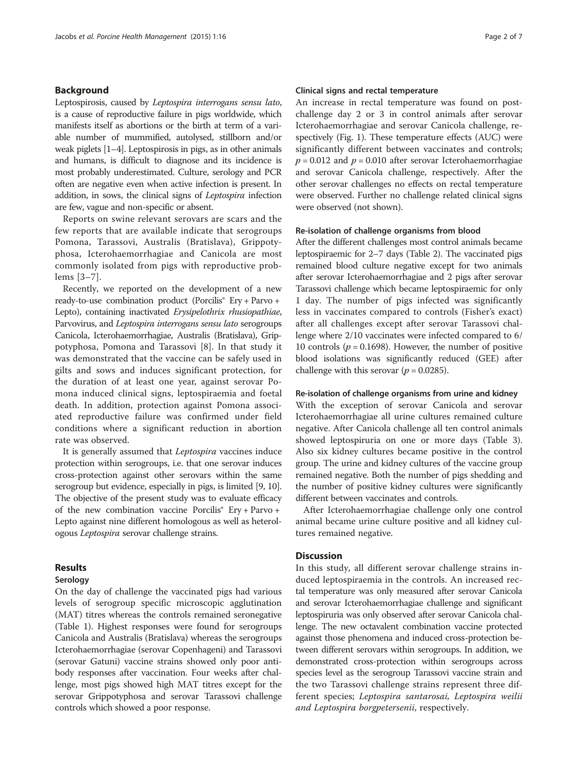## Background

Leptospirosis, caused by Leptospira interrogans sensu lato, is a cause of reproductive failure in pigs worldwide, which manifests itself as abortions or the birth at term of a variable number of mummified, autolysed, stillborn and/or weak piglets [[1](#page-6-0)–[4\]](#page-6-0). Leptospirosis in pigs, as in other animals and humans, is difficult to diagnose and its incidence is most probably underestimated. Culture, serology and PCR often are negative even when active infection is present. In addition, in sows, the clinical signs of Leptospira infection are few, vague and non-specific or absent.

Reports on swine relevant serovars are scars and the few reports that are available indicate that serogroups Pomona, Tarassovi, Australis (Bratislava), Grippotyphosa, Icterohaemorrhagiae and Canicola are most commonly isolated from pigs with reproductive problems [[3](#page-6-0)–[7\]](#page-6-0).

Recently, we reported on the development of a new ready-to-use combination product (Porcilis® Ery + Parvo + Lepto), containing inactivated Erysipelothrix rhusiopathiae, Parvovirus, and Leptospira interrogans sensu lato serogroups Canicola, Icterohaemorrhagiae, Australis (Bratislava), Grippotyphosa, Pomona and Tarassovi [[8\]](#page-6-0). In that study it was demonstrated that the vaccine can be safely used in gilts and sows and induces significant protection, for the duration of at least one year, against serovar Pomona induced clinical signs, leptospiraemia and foetal death. In addition, protection against Pomona associated reproductive failure was confirmed under field conditions where a significant reduction in abortion rate was observed.

It is generally assumed that *Leptospira* vaccines induce protection within serogroups, i.e. that one serovar induces cross-protection against other serovars within the same serogroup but evidence, especially in pigs, is limited [\[9](#page-6-0), [10](#page-6-0)]. The objective of the present study was to evaluate efficacy of the new combination vaccine  $Porclis^*$  Ery + Parvo + Lepto against nine different homologous as well as heterologous Leptospira serovar challenge strains.

## Results

#### Serology

On the day of challenge the vaccinated pigs had various levels of serogroup specific microscopic agglutination (MAT) titres whereas the controls remained seronegative (Table [1\)](#page-2-0). Highest responses were found for serogroups Canicola and Australis (Bratislava) whereas the serogroups Icterohaemorrhagiae (serovar Copenhageni) and Tarassovi (serovar Gatuni) vaccine strains showed only poor antibody responses after vaccination. Four weeks after challenge, most pigs showed high MAT titres except for the serovar Grippotyphosa and serovar Tarassovi challenge controls which showed a poor response.

#### Clinical signs and rectal temperature

An increase in rectal temperature was found on postchallenge day 2 or 3 in control animals after serovar Icterohaemorrhagiae and serovar Canicola challenge, respectively (Fig. [1](#page-2-0)). These temperature effects (AUC) were significantly different between vaccinates and controls;  $p = 0.012$  and  $p = 0.010$  after serovar Icterohaemorrhagiae and serovar Canicola challenge, respectively. After the other serovar challenges no effects on rectal temperature were observed. Further no challenge related clinical signs were observed (not shown).

## Re-isolation of challenge organisms from blood

After the different challenges most control animals became leptospiraemic for 2–7 days (Table [2](#page-3-0)). The vaccinated pigs remained blood culture negative except for two animals after serovar Icterohaemorrhagiae and 2 pigs after serovar Tarassovi challenge which became leptospiraemic for only 1 day. The number of pigs infected was significantly less in vaccinates compared to controls (Fisher's exact) after all challenges except after serovar Tarassovi challenge where 2/10 vaccinates were infected compared to 6/ 10 controls ( $p = 0.1698$ ). However, the number of positive blood isolations was significantly reduced (GEE) after challenge with this serovar ( $p = 0.0285$ ).

## Re-isolation of challenge organisms from urine and kidney

With the exception of serovar Canicola and serovar Icterohaemorrhagiae all urine cultures remained culture negative. After Canicola challenge all ten control animals showed leptospiruria on one or more days (Table [3](#page-3-0)). Also six kidney cultures became positive in the control group. The urine and kidney cultures of the vaccine group remained negative. Both the number of pigs shedding and the number of positive kidney cultures were significantly different between vaccinates and controls.

After Icterohaemorrhagiae challenge only one control animal became urine culture positive and all kidney cultures remained negative.

## **Discussion**

In this study, all different serovar challenge strains induced leptospiraemia in the controls. An increased rectal temperature was only measured after serovar Canicola and serovar Icterohaemorrhagiae challenge and significant leptospiruria was only observed after serovar Canicola challenge. The new octavalent combination vaccine protected against those phenomena and induced cross-protection between different serovars within serogroups. In addition, we demonstrated cross-protection within serogroups across species level as the serogroup Tarassovi vaccine strain and the two Tarassovi challenge strains represent three different species; Leptospira santarosai, Leptospira weilii and Leptospira borgpetersenii, respectively.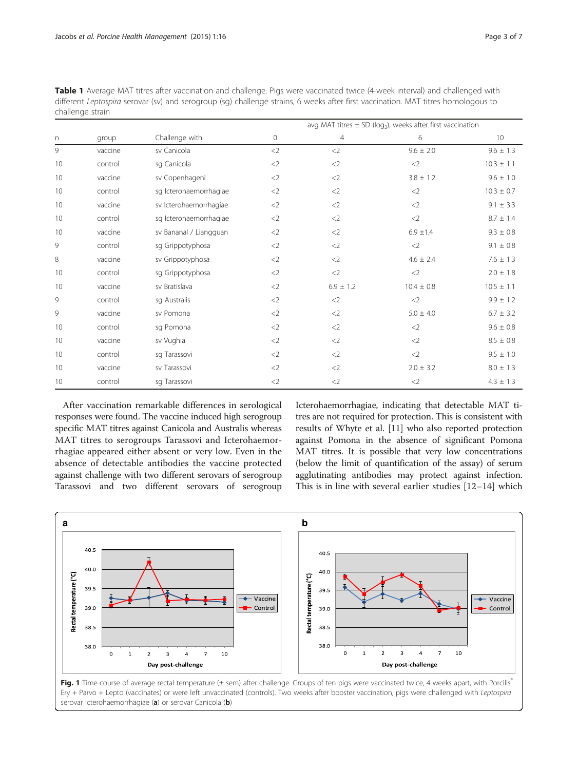|    |         |                        |         | avg MAT titres $\pm$ SD (log <sub>2</sub> ), weeks after first vaccination |                |                 |  |
|----|---------|------------------------|---------|----------------------------------------------------------------------------|----------------|-----------------|--|
| n  | group   | Challenge with         | $\circ$ | $\overline{4}$                                                             | 6              | 10 <sup>°</sup> |  |
| 9  | vaccine | sv Canicola            | $<$ 2   | $<$ 2                                                                      | $9.6 \pm 2.0$  | $9.6 \pm 1.3$   |  |
| 10 | control | sq Canicola            | $<$ 2   | $<$ 2                                                                      | $<$ 2          | $10.3 \pm 1.1$  |  |
| 10 | vaccine | sv Copenhageni         | $<$ 2   | $\langle 2 \rangle$                                                        | $3.8 \pm 1.2$  | $9.6 \pm 1.0$   |  |
| 10 | control | sg Icterohaemorrhagiae | $<$ 2   | $<$ 2                                                                      | $<$ 2          | $10.3 \pm 0.7$  |  |
| 10 | vaccine | sv Icterohaemorrhagiae | $<$ 2   | $<$ 2                                                                      | $<$ 2          | $9.1 \pm 3.3$   |  |
| 10 | control | sg Icterohaemorrhagiae | $<$ 2   | $<$ 2                                                                      | $<$ 2          | $8.7 \pm 1.4$   |  |
| 10 | vaccine | sv Bananal / Liangguan | $<$ 2   | $<$ 2                                                                      | $6.9 \pm 1.4$  | $9.3 \pm 0.8$   |  |
| 9  | control | sg Grippotyphosa       | $<$ 2   | $<$ 2                                                                      | $<$ 2          | $9.1 \pm 0.8$   |  |
| 8  | vaccine | sv Grippotyphosa       | $<$ 2   | $<$ 2                                                                      | $4.6 \pm 2.4$  | $7.6 \pm 1.3$   |  |
| 10 | control | sg Grippotyphosa       | $<$ 2   | $<$ 2                                                                      | $<$ 2          | $2.0 \pm 1.8$   |  |
| 10 | vaccine | sv Bratislava          | $<$ 2   | $6.9 \pm 1.2$                                                              | $10.4 \pm 0.8$ | $10.5 \pm 1.1$  |  |
| 9  | control | sq Australis           | $<$ 2   | $<$ 2                                                                      | $<$ 2          | $9.9 \pm 1.2$   |  |
| 9  | vaccine | sv Pomona              | $<$ 2   | $<$ 2                                                                      | $5.0 \pm 4.0$  | $6.7 \pm 3.2$   |  |
| 10 | control | sg Pomona              | $<$ 2   | $<$ 2                                                                      | $<$ 2          | $9.6 \pm 0.8$   |  |
| 10 | vaccine | sv Vughia              | $<$ 2   | $<$ 2                                                                      | $<$ 2          | $8.5 \pm 0.8$   |  |
| 10 | control | sg Tarassovi           | $<$ 2   | $<$ 2                                                                      | $<$ 2          | $9.5 \pm 1.0$   |  |
| 10 | vaccine | sv Tarassovi           | $<$ 2   | $<$ 2                                                                      | $2.0 \pm 3.2$  | $8.0 \pm 1.3$   |  |
| 10 | control | sq Tarassovi           | $<$ 2   | $<$ 2                                                                      | $<$ 2          | $4.3 \pm 1.3$   |  |

<span id="page-2-0"></span>Table 1 Average MAT titres after vaccination and challenge. Pigs were vaccinated twice (4-week interval) and challenged with different Leptospira serovar (sv) and serogroup (sg) challenge strains, 6 weeks after first vaccination. MAT titres homologous to challenge strain

After vaccination remarkable differences in serological responses were found. The vaccine induced high serogroup specific MAT titres against Canicola and Australis whereas MAT titres to serogroups Tarassovi and Icterohaemorrhagiae appeared either absent or very low. Even in the absence of detectable antibodies the vaccine protected against challenge with two different serovars of serogroup Tarassovi and two different serovars of serogroup Icterohaemorrhagiae, indicating that detectable MAT titres are not required for protection. This is consistent with results of Whyte et al. [\[11\]](#page-6-0) who also reported protection against Pomona in the absence of significant Pomona MAT titres. It is possible that very low concentrations (below the limit of quantification of the assay) of serum agglutinating antibodies may protect against infection. This is in line with several earlier studies [[12](#page-6-0)–[14](#page-6-0)] which

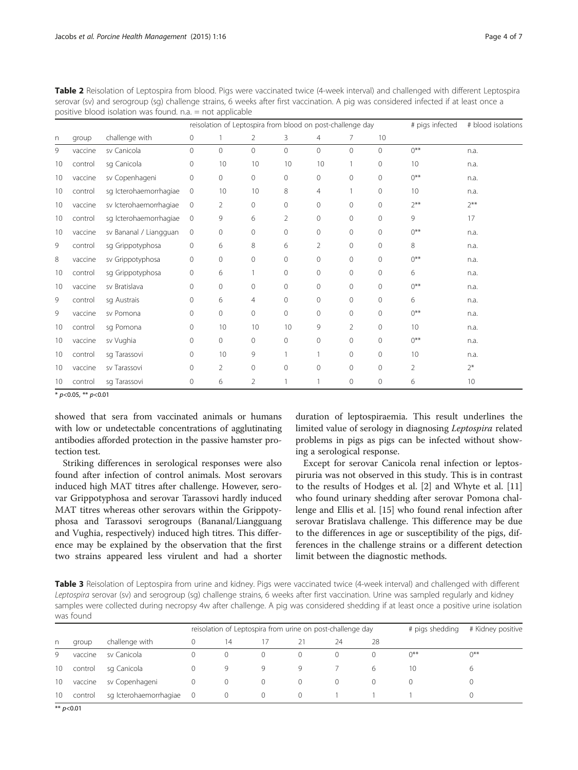|    |         |                        | reisolation of Leptospira from blood on post-challenge day |                |                     |          |          |                |              | # pigs infected | # blood isolations |
|----|---------|------------------------|------------------------------------------------------------|----------------|---------------------|----------|----------|----------------|--------------|-----------------|--------------------|
| n  | group   | challenge with         | $\mathbf{0}$                                               | 1              | 2                   | 3        | 4        | 7              | 10           |                 |                    |
| 9  | vaccine | sv Canicola            | $\mathbf 0$                                                | $\mathbf{0}$   | $\circ$             | $\circ$  | $\circ$  | $\mathbf{0}$   | $\circ$      | $()^{**}$       | n.a.               |
| 10 | control | sg Canicola            | 0                                                          | 10             | 10                  | 10       | 10       |                | 0            | 10              | n.a.               |
| 10 | vaccine | sv Copenhageni         | $\mathbf{0}$                                               | $\circ$        | $\circ$             | 0        | 0        | $\mathbf{0}$   | $\circ$      | $0***$          | n.a.               |
| 10 | control | sg Icterohaemorrhagiae | $\mathbf{0}$                                               | 10             | 10                  | 8        | 4        |                | $\circ$      | 10              | n.a.               |
| 10 | vaccine | sv Icterohaemorrhagiae | $\mathbf 0$                                                | 2              | $\mathsf{O}\xspace$ | 0        | 0        | $\mathbf{0}$   | $\circ$      | $7***$          | $7***$             |
| 10 | control | sq Icterohaemorrhagiae | $\mathbf 0$                                                | 9              | 6                   | 2        | 0        | 0              | 0            | 9               | 17                 |
| 10 | vaccine | sv Bananal / Liangguan | 0                                                          | $\mathbf 0$    | $\circ$             | $\circ$  | 0        | $\mathbf{0}$   | $\circ$      | $0***$          | n.a.               |
| 9  | control | sg Grippotyphosa       | $\mathbf{0}$                                               | 6              | 8                   | 6        | 2        | $\Omega$       | $\circ$      | 8               | n.a.               |
| 8  | vaccine | sv Grippotyphosa       | $\Omega$                                                   | $\mathbf{0}$   | $\Omega$            | $\Omega$ | $\Omega$ | $\Omega$       | $\Omega$     | $()^{\ast\ast}$ | n.a.               |
| 10 | control | sg Grippotyphosa       | $\mathbf{0}$                                               | 6              |                     | $\circ$  | 0        | $\mathbf{0}$   | $\mathbf{0}$ | 6               | n.a.               |
| 10 | vaccine | sv Bratislava          | $\mathbf{0}$                                               | $\mathbf{0}$   | $\mathbf 0$         | $\circ$  | $\circ$  | $\mathbf{0}$   | $\circ$      | $()^{\ast\ast}$ | n.a.               |
| 9  | control | sg Austrais            | $\mathbf{0}$                                               | 6              | 4                   | $\circ$  | $\circ$  | $\mathbf{0}$   | $\circ$      | 6               | n.a.               |
| 9  | vaccine | sv Pomona              | $\Omega$                                                   | $\mathbf 0$    | $\circ$             | 0        | $\circ$  | $\mathbf{0}$   | $\Omega$     | $()^{\ast\ast}$ | n.a.               |
| 10 | control | sg Pomona              | $\mathbf{0}$                                               | 10             | 10                  | 10       | 9        | $\overline{2}$ | $\mathbf{0}$ | 10              | n.a.               |
| 10 | vaccine | sv Vughia              | $\mathbf{0}$                                               | $\mathbf 0$    | $\mathsf{O}\xspace$ | 0        | 0        | $\mathbf{0}$   | $\mathbf{0}$ | $()^{\ast\ast}$ | n.a.               |
| 10 | control | sg Tarassovi           | 0                                                          | 10             | 9                   |          | 1        | 0              | 0            | 10              | n.a.               |
| 10 | vaccine | sv Tarassovi           | 0                                                          | $\overline{2}$ | $\circ$             | $\circ$  | $\circ$  | $\mathbf{0}$   | $\circ$      | 2               | $2*$               |
| 10 | control | sq Tarassovi           | 0                                                          | 6              | $\overline{2}$      |          |          | $\mathbf{0}$   | $\mathbf{0}$ | 6               | 10                 |

<span id="page-3-0"></span>Table 2 Reisolation of Leptospira from blood. Pigs were vaccinated twice (4-week interval) and challenged with different Leptospira serovar (sv) and serogroup (sg) challenge strains, 6 weeks after first vaccination. A pig was considered infected if at least once a positive blood isolation was found. n.a. = not applicable

\*  $p<0.05$ , \*\*  $p<0.01$ 

showed that sera from vaccinated animals or humans with low or undetectable concentrations of agglutinating antibodies afforded protection in the passive hamster protection test.

Striking differences in serological responses were also found after infection of control animals. Most serovars induced high MAT titres after challenge. However, serovar Grippotyphosa and serovar Tarassovi hardly induced MAT titres whereas other serovars within the Grippotyphosa and Tarassovi serogroups (Bananal/Liangguang and Vughia, respectively) induced high titres. This difference may be explained by the observation that the first two strains appeared less virulent and had a shorter

duration of leptospiraemia. This result underlines the limited value of serology in diagnosing Leptospira related problems in pigs as pigs can be infected without showing a serological response.

Except for serovar Canicola renal infection or leptospiruria was not observed in this study. This is in contrast to the results of Hodges et al. [\[2\]](#page-6-0) and Whyte et al. [[11](#page-6-0)] who found urinary shedding after serovar Pomona challenge and Ellis et al. [[15\]](#page-6-0) who found renal infection after serovar Bratislava challenge. This difference may be due to the differences in age or susceptibility of the pigs, differences in the challenge strains or a different detection limit between the diagnostic methods.

Table 3 Reisolation of Leptospira from urine and kidney. Pigs were vaccinated twice (4-week interval) and challenged with different Leptospira serovar (sv) and serogroup (sg) challenge strains, 6 weeks after first vaccination. Urine was sampled regularly and kidney samples were collected during necropsy 4w after challenge. A pig was considered shedding if at least once a positive urine isolation was found

|    |         |                        |                |                  | reisolation of Leptospira from urine on post-challenge day | # pigs shedding | # Kidney positive |                  |        |        |
|----|---------|------------------------|----------------|------------------|------------------------------------------------------------|-----------------|-------------------|------------------|--------|--------|
| n  | group   | challenge with         | 0              | 14               |                                                            |                 | 24                | 28               |        |        |
| 9  | vaccine | sv Canicola            | 0              | $\left( \right)$ |                                                            | $\Omega$        |                   |                  | $0***$ | $0***$ |
| 10 | control | sg Canicola            | 0              | Q                |                                                            | 9               |                   | 6                | 10     |        |
| 10 | vaccine | sv Copenhageni         | 0              | 0                |                                                            | $\Omega$        | $\left( \right)$  | $\left( \right)$ |        |        |
| 10 | control | sg Icterohaemorrhagiae | $\overline{0}$ | 0                | $\left( \right)$                                           | $\Omega$        |                   |                  |        |        |

\*\*  $p$  < 0.01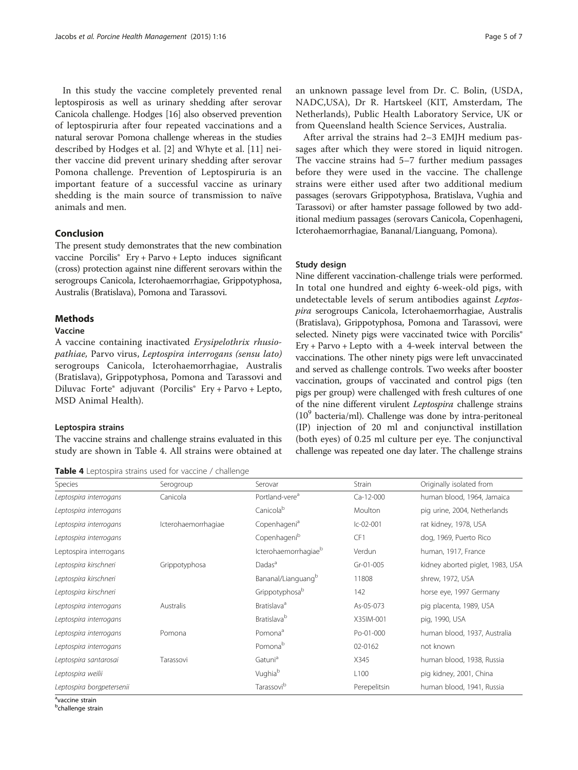<span id="page-4-0"></span>In this study the vaccine completely prevented renal leptospirosis as well as urinary shedding after serovar Canicola challenge. Hodges [[16](#page-6-0)] also observed prevention of leptospiruria after four repeated vaccinations and a natural serovar Pomona challenge whereas in the studies described by Hodges et al. [[2](#page-6-0)] and Whyte et al. [\[11](#page-6-0)] neither vaccine did prevent urinary shedding after serovar Pomona challenge. Prevention of Leptospiruria is an important feature of a successful vaccine as urinary shedding is the main source of transmission to naïve animals and men.

## Conclusion

The present study demonstrates that the new combination vaccine Porcilis® Ery + Parvo + Lepto induces significant (cross) protection against nine different serovars within the serogroups Canicola, Icterohaemorrhagiae, Grippotyphosa, Australis (Bratislava), Pomona and Tarassovi.

## Methods

## Vaccine

A vaccine containing inactivated Erysipelothrix rhusiopathiae, Parvo virus, Leptospira interrogans (sensu lato) serogroups Canicola, Icterohaemorrhagiae, Australis (Bratislava), Grippotyphosa, Pomona and Tarassovi and Diluvac Forte® adjuvant (Porcilis® Ery + Parvo + Lepto, MSD Animal Health).

#### Leptospira strains

The vaccine strains and challenge strains evaluated in this study are shown in Table 4. All strains were obtained at

Table 4 Leptospira strains used for vaccine / challenge

an unknown passage level from Dr. C. Bolin, (USDA, NADC,USA), Dr R. Hartskeel (KIT, Amsterdam, The Netherlands), Public Health Laboratory Service, UK or from Queensland health Science Services, Australia.

After arrival the strains had 2–3 EMJH medium passages after which they were stored in liquid nitrogen. The vaccine strains had 5–7 further medium passages before they were used in the vaccine. The challenge strains were either used after two additional medium passages (serovars Grippotyphosa, Bratislava, Vughia and Tarassovi) or after hamster passage followed by two additional medium passages (serovars Canicola, Copenhageni, Icterohaemorrhagiae, Bananal/Lianguang, Pomona).

## Study design

Nine different vaccination-challenge trials were performed. In total one hundred and eighty 6-week-old pigs, with undetectable levels of serum antibodies against Leptospira serogroups Canicola, Icterohaemorrhagiae, Australis (Bratislava), Grippotyphosa, Pomona and Tarassovi, were selected. Ninety pigs were vaccinated twice with Porcilis® Ery + Parvo + Lepto with a 4-week interval between the vaccinations. The other ninety pigs were left unvaccinated and served as challenge controls. Two weeks after booster vaccination, groups of vaccinated and control pigs (ten pigs per group) were challenged with fresh cultures of one of the nine different virulent Leptospira challenge strains  $(10^9 \text{ bacteria/ml})$ . Challenge was done by intra-peritoneal (IP) injection of 20 ml and conjunctival instillation (both eyes) of 0.25 ml culture per eye. The conjunctival challenge was repeated one day later. The challenge strains

| Species                   | Serogroup           | Serovar                          | Strain           | Originally isolated from         |
|---------------------------|---------------------|----------------------------------|------------------|----------------------------------|
| Leptospira interrogans    | Canicola            | Portland-vere <sup>a</sup>       | Ca-12-000        | human blood, 1964, Jamaica       |
| Leptospira interrogans    |                     | Canicolab                        | Moulton          | pig urine, 2004, Netherlands     |
| Leptospira interrogans    | Icterohaemorrhagiae | Copenhageni <sup>a</sup>         | Ic-02-001        | rat kidney, 1978, USA            |
| Leptospira interrogans    |                     | Copenhageni <sup>b</sup>         | CF1              | dog, 1969, Puerto Rico           |
| Leptospira interrogans    |                     | Icterohaemorrhagiae <sup>b</sup> | Verdun           | human, 1917, France              |
| Leptospira kirschneri     | Grippotyphosa       | Dadas <sup>a</sup>               | Gr-01-005        | kidney aborted piglet, 1983, USA |
| Leptospira kirschneri     |                     | Bananal/Lianguang <sup>b</sup>   | 11808            | shrew, 1972, USA                 |
| Leptospira kirschneri     |                     | Grippotyphosa <sup>b</sup>       | 142              | horse eye, 1997 Germany          |
| Leptospira interrogans    | Australis           | <b>Bratislava</b> <sup>a</sup>   | As-05-073        | pig placenta, 1989, USA          |
| Leptospira interrogans    |                     | <b>Bratislava</b> <sup>b</sup>   | X35IM-001        | pig, 1990, USA                   |
| Leptospira interrogans    | Pomona              | Pomona <sup>a</sup>              | Po-01-000        | human blood, 1937, Australia     |
| Leptospira interrogans    |                     | Pomona <sup>b</sup>              | 02-0162          | not known                        |
| Leptospira santarosai     | Tarassovi           | Gatuni <sup>a</sup>              | X345             | human blood, 1938, Russia        |
| Leptospira weilii         |                     | Vughiab                          | L <sub>100</sub> | pig kidney, 2001, China          |
| Leptospira borgpetersenii |                     | Tarassovi <sup>b</sup>           | Perepelitsin     | human blood, 1941, Russia        |

<sup>a</sup>vaccine strain

<sup>b</sup>challenge strain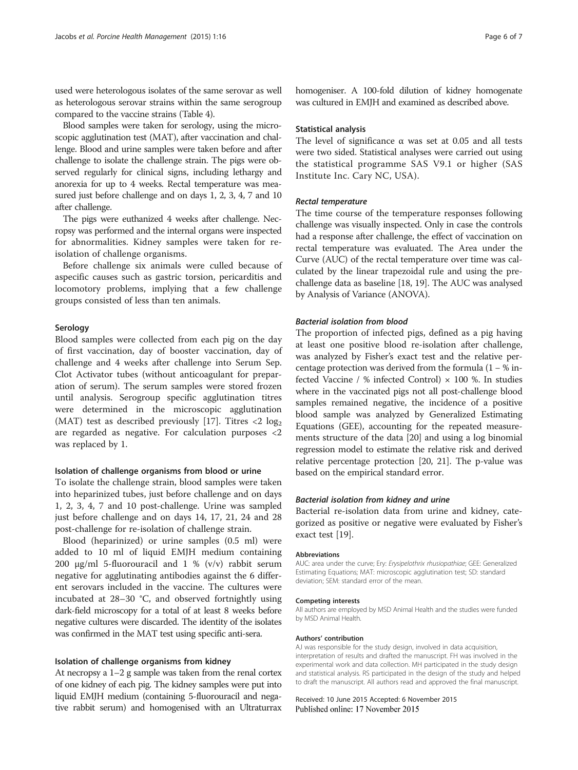used were heterologous isolates of the same serovar as well as heterologous serovar strains within the same serogroup compared to the vaccine strains (Table [4](#page-4-0)).

Blood samples were taken for serology, using the microscopic agglutination test (MAT), after vaccination and challenge. Blood and urine samples were taken before and after challenge to isolate the challenge strain. The pigs were observed regularly for clinical signs, including lethargy and anorexia for up to 4 weeks. Rectal temperature was measured just before challenge and on days 1, 2, 3, 4, 7 and 10 after challenge.

The pigs were euthanized 4 weeks after challenge. Necropsy was performed and the internal organs were inspected for abnormalities. Kidney samples were taken for reisolation of challenge organisms.

Before challenge six animals were culled because of aspecific causes such as gastric torsion, pericarditis and locomotory problems, implying that a few challenge groups consisted of less than ten animals.

#### Serology

Blood samples were collected from each pig on the day of first vaccination, day of booster vaccination, day of challenge and 4 weeks after challenge into Serum Sep. Clot Activator tubes (without anticoagulant for preparation of serum). The serum samples were stored frozen until analysis. Serogroup specific agglutination titres were determined in the microscopic agglutination (MAT) test as described previously [\[17](#page-6-0)]. Titres  $\langle 2 \log_2$ are regarded as negative. For calculation purposes <2 was replaced by 1.

#### Isolation of challenge organisms from blood or urine

To isolate the challenge strain, blood samples were taken into heparinized tubes, just before challenge and on days 1, 2, 3, 4, 7 and 10 post-challenge. Urine was sampled just before challenge and on days 14, 17, 21, 24 and 28 post-challenge for re-isolation of challenge strain.

Blood (heparinized) or urine samples (0.5 ml) were added to 10 ml of liquid EMJH medium containing 200 μg/ml 5-fluorouracil and 1 %  $(v/v)$  rabbit serum negative for agglutinating antibodies against the 6 different serovars included in the vaccine. The cultures were incubated at 28–30 °C, and observed fortnightly using dark-field microscopy for a total of at least 8 weeks before negative cultures were discarded. The identity of the isolates was confirmed in the MAT test using specific anti-sera.

## Isolation of challenge organisms from kidney

At necropsy a 1–2 g sample was taken from the renal cortex of one kidney of each pig. The kidney samples were put into liquid EMJH medium (containing 5-fluorouracil and negative rabbit serum) and homogenised with an Ultraturrax homogeniser. A 100-fold dilution of kidney homogenate was cultured in EMJH and examined as described above.

## Statistical analysis

The level of significance  $\alpha$  was set at 0.05 and all tests were two sided. Statistical analyses were carried out using the statistical programme SAS V9.1 or higher (SAS Institute Inc. Cary NC, USA).

#### Rectal temperature

The time course of the temperature responses following challenge was visually inspected. Only in case the controls had a response after challenge, the effect of vaccination on rectal temperature was evaluated. The Area under the Curve (AUC) of the rectal temperature over time was calculated by the linear trapezoidal rule and using the prechallenge data as baseline [\[18, 19](#page-6-0)]. The AUC was analysed by Analysis of Variance (ANOVA).

## Bacterial isolation from blood

The proportion of infected pigs, defined as a pig having at least one positive blood re-isolation after challenge, was analyzed by Fisher's exact test and the relative percentage protection was derived from the formula  $(1 - %)$  infected Vaccine / % infected Control)  $\times$  100 %. In studies where in the vaccinated pigs not all post-challenge blood samples remained negative, the incidence of a positive blood sample was analyzed by Generalized Estimating Equations (GEE), accounting for the repeated measurements structure of the data [\[20\]](#page-6-0) and using a log binomial regression model to estimate the relative risk and derived relative percentage protection [\[20](#page-6-0), [21](#page-6-0)]. The p-value was based on the empirical standard error.

#### Bacterial isolation from kidney and urine

Bacterial re-isolation data from urine and kidney, categorized as positive or negative were evaluated by Fisher's exact test [\[19](#page-6-0)].

#### Abbreviations

AUC: area under the curve; Ery: Erysipelothrix rhusiopathiae; GEE: Generalized Estimating Equations; MAT: microscopic agglutination test; SD: standard deviation; SEM: standard error of the mean.

#### Competing interests

All authors are employed by MSD Animal Health and the studies were funded by MSD Animal Health.

#### Authors' contribution

AJ was responsible for the study design, involved in data acquisition, interpretation of results and drafted the manuscript. FH was involved in the experimental work and data collection. MH participated in the study design and statistical analysis. RS participated in the design of the study and helped to draft the manuscript. All authors read and approved the final manuscript.

#### Received: 10 June 2015 Accepted: 6 November 2015 Published online: 17 November 2015